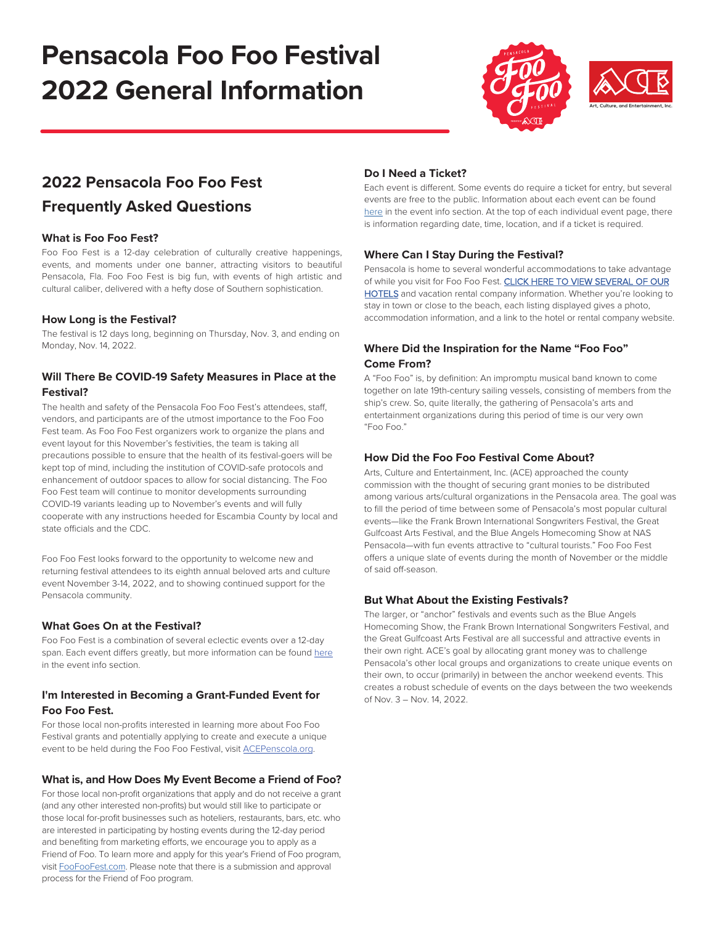# **Pensacola Foo Foo Festival 2022 General Information**



### **2022 Pensacola Foo Foo Fest**

### **Frequently Asked Questions**

### **What is Foo Foo Fest?**

Foo Foo Fest is a 12-day celebration of culturally creative happenings, events, and moments under one banner, attracting visitors to beautiful Pensacola, Fla. Foo Foo Fest is big fun, with events of high artistic and cultural caliber, delivered with a hefty dose of Southern sophistication.

### **How Long is the Festival?**

The festival is 12 days long, beginning on Thursday, Nov. 3, and ending on Monday, Nov. 14, 2022.

### **Will There Be COVID-19 Safety Measures in Place at the Festival?**

The health and safety of the Pensacola Foo Foo Fest's attendees, staff, vendors, and participants are of the utmost importance to the Foo Foo Fest team. As Foo Foo Fest organizers work to organize the plans and event layout for this November's festivities, the team is taking all precautions possible to ensure that the health of its festival-goers will be kept top of mind, including the institution of COVID-safe protocols and enhancement of outdoor spaces to allow for social distancing. The Foo Foo Fest team will continue to monitor developments surrounding COVID-19 variants leading up to November's events and will fully cooperate with any instructions heeded for Escambia County by local and state officials and the CDC.

Foo Foo Fest looks forward to the opportunity to welcome new and returning festival attendees to its eighth annual beloved arts and culture event November 3-14, 2022, and to showing continued support for the Pensacola community.

### **What Goes On at the Festival?**

Foo Foo Fest is a combination of several eclectic events over a 12-day span. Each event differs greatly, but more information can be found [here](https://www.foofoofest.com/events/) in the event info section.

### **I'm Interested in Becoming a Grant-Funded Event for Foo Foo Fest.**

For those local non-profits interested in learning more about Foo Foo Festival grants and potentially applying to create and execute a unique event to be held during the Foo Foo Festival, visit [ACEPenscola.org](https://acepensacola.org/foo-foo-programming-grants/).

### **What is, and How Does My Event Become a Friend of Foo?**

For those local non-profit organizations that apply and do not receive a grant (and any other interested non-profits) but would still like to participate or those local for-profit businesses such as hoteliers, restaurants, bars, etc. who are interested in participating by hosting events during the 12-day period and benefiting from marketing efforts, we encourage you to apply as a Friend of Foo. To learn more and apply for this year's Friend of Foo program, visit [FooFooFest.com.](https://www.foofoofest.com/event-signup/) Please note that there is a submission and approval process for the Friend of Foo program.

### **Do I Need a Ticket?**

Each event is different. Some events do require a ticket for entry, but several events are free to the public. Information about each event can be found [here](https://www.foofoofest.com/events/) in the event info section. At the top of each individual event page, there is information regarding date, time, location, and if a ticket is required.

### **Where Can I Stay During the Festival?**

Pensacola is home to several wonderful accommodations to take advantage [of while you visit for Foo Foo Fest. CLICK HERE TO VIEW SEVERAL OF OUR](https://www.visitpensacola.com/places-to-stay/) HOTELS and vacation rental company information. Whether you're looking to stay in town or close to the beach, each listing displayed gives a photo, accommodation information, and a link to the hotel or rental company website.

### **Where Did the Inspiration for the Name "Foo Foo" Come From?**

A "Foo Foo" is, by definition: An impromptu musical band known to come together on late 19th-century sailing vessels, consisting of members from the ship's crew. So, quite literally, the gathering of Pensacola's arts and entertainment organizations during this period of time is our very own "Foo Foo."

### **How Did the Foo Foo Festival Come About?**

Arts, Culture and Entertainment, Inc. (ACE) approached the county commission with the thought of securing grant monies to be distributed among various arts/cultural organizations in the Pensacola area. The goal was to fill the period of time between some of Pensacola's most popular cultural events—like the Frank Brown International Songwriters Festival, the Great Gulfcoast Arts Festival, and the Blue Angels Homecoming Show at NAS Pensacola—with fun events attractive to "cultural tourists." Foo Foo Fest offers a unique slate of events during the month of November or the middle of said off-season.

### **But What About the Existing Festivals?**

The larger, or "anchor" festivals and events such as the Blue Angels Homecoming Show, the Frank Brown International Songwriters Festival, and the Great Gulfcoast Arts Festival are all successful and attractive events in their own right. ACE's goal by allocating grant money was to challenge Pensacola's other local groups and organizations to create unique events on their own, to occur (primarily) in between the anchor weekend events. This creates a robust schedule of events on the days between the two weekends of Nov. 3 – Nov. 14, 2022.